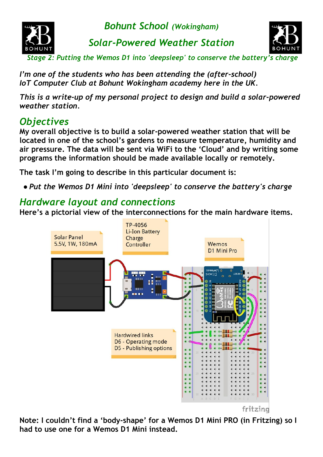

*Solar-Powered Weather Station*



 *Stage 2: Putting the Wemos D1 into 'deepsleep' to conserve the battery's charge*

*I'm one of the students who has been attending the (after-school) IoT Computer Club at Bohunt Wokingham academy here in the UK.*

*This is a write-up of my personal project to design and build a solar-powered weather station.*

# *Objectives*

**My overall objective is to build a solar-powered weather station that will be located in one of the school's gardens to measure temperature, humidity and air pressure. The data will be sent via WiFi to the 'Cloud' and by writing some programs the information should be made available locally or remotely.**

**The task I'm going to describe in this particular document is:**

*● Put the Wemos D1 Mini into 'deepsleep' to conserve the battery's charge*

### *Hardware layout and connections*

**Here's a pictorial view of the interconnections for the main hardware items.**



**Note: I couldn't find a 'body-shape' for a Wemos D1 Mini PRO (in Fritzing) so I had to use one for a Wemos D1 Mini instead.**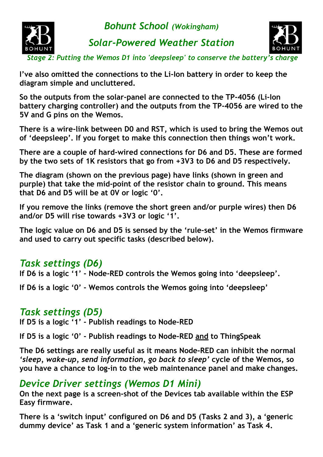

*Solar-Powered Weather Station*



 *Stage 2: Putting the Wemos D1 into 'deepsleep' to conserve the battery's charge*

**I've also omitted the connections to the Li-Ion battery in order to keep the diagram simple and uncluttered.**

**So the outputs from the solar-panel are connected to the TP-4056 (Li-Ion battery charging controller) and the outputs from the TP-4056 are wired to the 5V and G pins on the Wemos.**

**There is a wire-link between D0 and RST, which is used to bring the Wemos out of 'deepsleep'. If you forget to make this connection then things won't work.**

**There are a couple of hard-wired connections for D6 and D5. These are formed by the two sets of 1K resistors that go from +3V3 to D6 and D5 respectively.**

**The diagram (shown on the previous page) have links (shown in green and purple) that take the mid-point of the resistor chain to ground. This means that D6 and D5 will be at 0V or logic '0'.**

**If you remove the links (remove the short green and/or purple wires) then D6 and/or D5 will rise towards +3V3 or logic '1'.**

**The logic value on D6 and D5 is sensed by the 'rule-set' in the Wemos firmware and used to carry out specific tasks (described below).**

### *Task settings (D6)*

**If D6 is a logic '1' - Node-RED controls the Wemos going into 'deepsleep'.**

**If D6 is a logic '0' - Wemos controls the Wemos going into 'deepsleep'**

### *Task settings (D5)*

**If D5 is a logic '1' - Publish readings to Node-RED**

**If D5 is a logic '0' - Publish readings to Node-RED and to ThingSpeak**

**The D6 settings are really useful as it means Node-RED can inhibit the normal** *'sleep, wake-up, send information, go back to sleep'* **cycle of the Wemos, so you have a chance to log-in to the web maintenance panel and make changes.**

### *Device Driver settings (Wemos D1 Mini)*

**On the next page is a screen-shot of the Devices tab available within the ESP Easy firmware.**

**There is a 'switch input' configured on D6 and D5 (Tasks 2 and 3), a 'generic dummy device' as Task 1 and a 'generic system information' as Task 4.**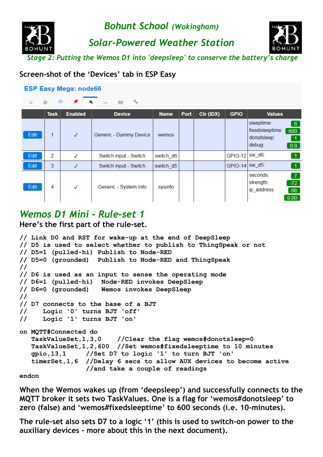*Solar-Powered Weather Station*



 *Stage 2: Putting the Wemos D1 into 'deepsleep' to conserve the battery's charge*

#### **Screen-shot of the 'Devices' tab in ESP Easy**

|  | <b>ESP Easy Mega: node66</b> |
|--|------------------------------|
|  |                              |

| Ò<br>$\left\vert \mathbf{r}\right\vert \mathbf{r}$<br>Λ<br>⊠<br>$\rightarrow$ |               |                |                        |             |      |           |                  |                                                                                                                       |
|-------------------------------------------------------------------------------|---------------|----------------|------------------------|-------------|------|-----------|------------------|-----------------------------------------------------------------------------------------------------------------------|
|                                                                               | <b>Task</b>   | <b>Enabled</b> | <b>Device</b>          | <b>Name</b> | Port | Ctr (IDX) | <b>GPIO</b>      | <b>Values</b>                                                                                                         |
| Edit                                                                          | 1             | $\checkmark$   | Generic - Dummy Device | wemos       |      |           |                  | sleeptime:<br>$6^{\circ}$<br>fixedsleeptime:<br>600<br>donotsleep:<br>$\blacktriangleleft$<br>debug:<br>$\boxed{0.0}$ |
| Edit                                                                          | $\mathcal{P}$ | √              | Switch input - Switch  | switch_d6   |      |           | GPIO-12   SW_d6: | $\vert$ 1                                                                                                             |
| Edit                                                                          | 3             | $\checkmark$   | Switch input - Switch  | switch_d5   |      |           | GPIO-14 SW_d5:   |                                                                                                                       |
| Edit                                                                          | 4             | $\checkmark$   | Generic - System Info  | sysinfo     |      |           |                  | seconds:<br>$\overline{7}$<br>strength:<br>$-72$<br>ip_address:<br>66<br>0.00                                         |

### *Wemos D1 Mini - Rule-set 1*

**Here's the first part of the rule-set.**

```
// Link D0 and RST for wake-up at the end of DeepSleep
// D5 is used to select whether to publish to ThingSpeak or not
// D5=1 (pulled-hi) Publish to Node-RED
// D5=0 (grounded) Publish to Node-RED and ThingSpeak
//
// D6 is used as an input to sense the operating mode
// D6=1 (pulled-hi) Node-RED invokes DeepSleep
// D6=0 (grounded) Wemos invokes DeepSleep
//
// D7 connects to the base of a BJT
// Logic '0' turns BJT 'off'
// Logic '1' turns BJT 'on'
on MQTT#Connected do
    TaskValueSet,1,3,0 //Clear the flag wemos#donotsleep=0
    TaskValueSet,1,2,600 //Set wemos#fixedsleeptime to 10 minutes
    gpio,13,1 //Set D7 to logic '1' to turn BJT 'on'
    timerSet,1,6 //Delay 6 secs to allow AUX devices to become active
                 //and take a couple of readings
```
**endon**

**When the Wemos wakes up (from 'deepsleep') and successfully connects to the MQTT broker it sets two TaskValues. One is a flag for 'wemos#donotsleep' to zero (false) and 'wemos#fixedsleeptime' to 600 seconds (i.e. 10-minutes).**

**The rule-set also sets D7 to a logic '1' (this is used to switch-on power to the auxiliary devices - more about this in the next document).**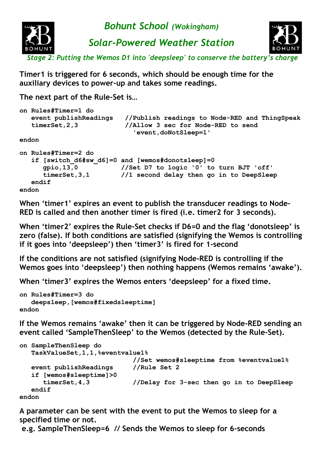

**Timer1 is triggered for 6 seconds, which should be enough time for the auxiliary devices to power-up and takes some readings.**

**The next part of the Rule-Set is…**

|       | on Rules#Timer=1 do<br>event publishReadings<br>timerSet, 2, 3 | //Publish readings to Node-RED and ThingSpeak<br>//Allow 3 sec for Node-RED to send<br>'event, doNotSleep=1'                           |
|-------|----------------------------------------------------------------|----------------------------------------------------------------------------------------------------------------------------------------|
| endon |                                                                |                                                                                                                                        |
| endon | on Rules#Timer=2 do<br>qpio, 13, 0<br>timerSet, 3, 1<br>endif  | if [switch d6#sw d6]=0 and [wemos#donotsleep]=0<br>//Set D7 to logic '0' to turn BJT 'off'<br>//1 second delay then go in to DeepSleep |

**When 'timer1' expires an event to publish the transducer readings to Node-RED is called and then another timer is fired (i.e. timer2 for 3 seconds).**

**When 'timer2' expires the Rule-Set checks if D6=0 and the flag 'donotsleep' is zero (false). If both conditions are satisfied (signifying the Wemos is controlling if it goes into 'deepsleep') then 'timer3' is fired for 1-second**

**If the conditions are not satisfied (signifying Node-RED is controlling if the Wemos goes into 'deepsleep') then nothing happens (Wemos remains 'awake').**

**When 'timer3' expires the Wemos enters 'deepsleep' for a fixed time.**

```
on Rules#Timer=3 do
    deepsleep,[wemos#fixedsleeptime]
endon
```
**If the Wemos remains 'awake' then it can be triggered by Node-RED sending an event called 'SampleThenSleep' to the Wemos (detected by the Rule-Set).**

```
on SampleThenSleep do
   TaskValueSet,1,1,%eventvalue1%
                             //Set wemos#sleeptime from %eventvalue1%
   event publishReadings //Rule Set 2
    if [wemos#sleeptime]>0
      timerSet,4,3 //Delay for 3-sec then go in to DeepSleep
   endif
endon
```
**A parameter can be sent with the event to put the Wemos to sleep for a specified time or not.**

 **e.g. SampleThenSleep=6 // Sends the Wemos to sleep for 6-seconds**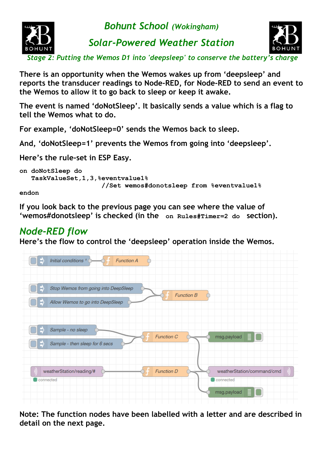

*Solar-Powered Weather Station*



 *Stage 2: Putting the Wemos D1 into 'deepsleep' to conserve the battery's charge*

**There is an opportunity when the Wemos wakes up from 'deepsleep' and reports the transducer readings to Node-RED, for Node-RED to send an event to the Wemos to allow it to go back to sleep or keep it awake.**

**The event is named 'doNotSleep'. It basically sends a value which is a flag to tell the Wemos what to do.**

**For example, 'doNotSleep=0' sends the Wemos back to sleep.**

**And, 'doNotSleep=1' prevents the Wemos from going into 'deepsleep'.**

**Here's the rule-set in ESP Easy.**

```
on doNotSleep do
    TaskValueSet,1,3,%eventvalue1%
                       //Set wemos#donotsleep from %eventvalue1%
```
**endon**

**If you look back to the previous page you can see where the value of 'wemos#donotsleep' is checked (in the on Rules#Timer=2 do section).**

### *Node-RED flow*

**Here's the flow to control the 'deepsleep' operation inside the Wemos.**



**Note: The function nodes have been labelled with a letter and are described in detail on the next page.**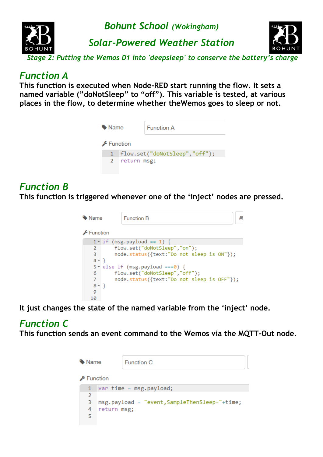



*Solar-Powered Weather Station*



 *Stage 2: Putting the Wemos D1 into 'deepsleep' to conserve the battery's charge*

#### *Function A*

**This function is executed when Node-RED start running the flow. It sets a named variable ("doNotSleep" to "off"). This variable is tested, at various places in the flow, to determine whether theWemos goes to sleep or not.**

| • Name   |               | <b>Function A</b>             |
|----------|---------------|-------------------------------|
| Function |               |                               |
| 1        |               | flow.set("doNotSleep","off"); |
|          | 2 return msg; |                               |
|          |               |                               |

### *Function B*

**This function is triggered whenever one of the 'inject' nodes are pressed.**

| • Name                        | <b>Function B</b>                          |
|-------------------------------|--------------------------------------------|
| $\sqrt{\frac{1}{2}}$ Function |                                            |
|                               | $1 \cdot$ if (msg.payload == 1) {          |
| 2                             | flow.set("doNotSleep","on");               |
| 3                             | node.status({text:"Do not sleep is ON"});  |
| $4 \rightarrow$               |                                            |
|                               | $5 \times$ else if (msg.payload ===0) {    |
| 6                             | flow.set("doNotSleep","off");              |
| 7                             | node.status({text:"Do not sleep is OFF"}); |
| $8 - \}$                      |                                            |
| 9                             |                                            |
| 10                            |                                            |

**It just changes the state of the named variable from the 'inject' node.**

# *Function C*

**This function sends an event command to the Wemos via the MQTT-Out node.**

| Name |              |             | <b>Function C</b>                             |  |
|------|--------------|-------------|-----------------------------------------------|--|
|      | Function     |             |                                               |  |
|      | $\mathbf{1}$ |             | $var time = msg.payload;$                     |  |
|      | 2            |             |                                               |  |
|      | з            |             | msg.payload = "event, SampleThenSleep="+time; |  |
|      | 4            | return msg; |                                               |  |
|      | 5            |             |                                               |  |
|      |              |             |                                               |  |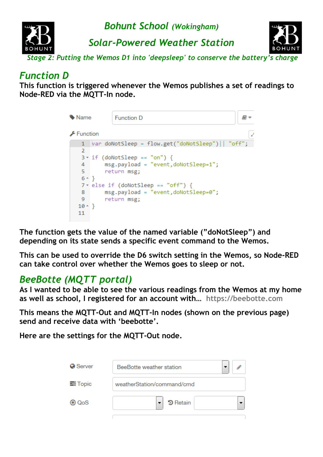

### *Function D*

**This function is triggered whenever the Wemos publishes a set of readings to Node-RED via the MQTT-In node.**

| • Name            | <b>Function D</b>                                                   |
|-------------------|---------------------------------------------------------------------|
| Function          |                                                                     |
| 1                 | $\vert$ var doNotSleep = flow.get("doNotSleep") $\vert\vert$ "off"; |
| 2                 |                                                                     |
|                   | $3 \cdot if (doNotSleep == "on")$ {                                 |
| 4                 | $msg.payload = "event,dolNotSleep=1";$                              |
| 5.                | return msg;                                                         |
| $6 \rightarrow$ } |                                                                     |
|                   | $7 \times$ else if (doNotSleep == "off") {                          |
| 8                 | msg.payload = "event,doNotSleep=0";                                 |
| 9                 | return msg;                                                         |
| $10 - \}$         |                                                                     |
| 11                |                                                                     |
|                   |                                                                     |

**The function gets the value of the named variable ("doNotSleep") and depending on its state sends a specific event command to the Wemos.**

**This can be used to override the D6 switch setting in the Wemos, so Node-RED can take control over whether the Wemos goes to sleep or not.**

## *BeeBotte (MQTT portal)*

**As I wanted to be able to see the various readings from the Wemos at my home as well as school, I registered for an account with… [https://beebotte.com](https://beebotte.com/)**

**This means the MQTT-Out and MQTT-In nodes (shown on the previous page) send and receive data with 'beebotte'.**

**Here are the settings for the MQTT-Out node.**

| Server         | BeeBotte weather station   |  |
|----------------|----------------------------|--|
| <b>三 Topic</b> | weatherStation/command/cmd |  |
| QoS<br>GD)     | <b>う Retain</b>            |  |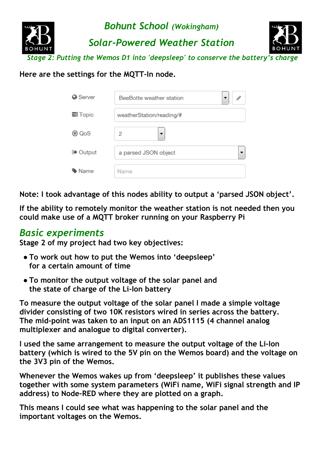

**Here are the settings for the MQTT-In node.**

| <b>O</b> Server | BeeBotte weather station |
|-----------------|--------------------------|
| <b>三 Topic</b>  | weatherStation/reading/# |
| ⊕ QoS           | 2<br>▼                   |
| <b>■ Output</b> | a parsed JSON object     |
| Name            | Name                     |

**Note: I took advantage of this nodes ability to output a 'parsed JSON object'.**

**If the ability to remotely monitor the weather station is not needed then you could make use of a MQTT broker running on your Raspberry Pi**

### *Basic experiments*

**Stage 2 of my project had two key objectives:**

- **● To work out how to put the Wemos into 'deepsleep' for a certain amount of time**
- **● To monitor the output voltage of the solar panel and the state of charge of the Li-Ion battery**

**To measure the output voltage of the solar panel I made a simple voltage divider consisting of two 10K resistors wired in series across the battery. The mid-point was taken to an input on an ADS1115 (4 channel analog multiplexer and analogue to digital converter).**

**I used the same arrangement to measure the output voltage of the Li-Ion battery (which is wired to the 5V pin on the Wemos board) and the voltage on the 3V3 pin of the Wemos.**

**Whenever the Wemos wakes up from 'deepsleep' it publishes these values together with some system parameters (WiFi name, WiFi signal strength and IP address) to Node-RED where they are plotted on a graph.**

**This means I could see what was happening to the solar panel and the important voltages on the Wemos.**